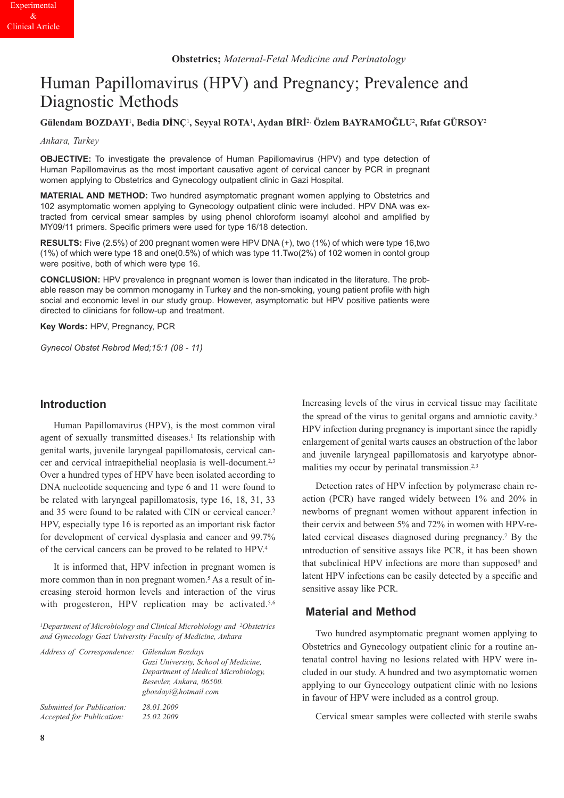# Human Papillomavirus (HPV) and Pregnancy; Prevalence and Diagnostic Methods

**Gülendam BOZDAYI**1**, Bedia DİNÇ**1**, Seyyal ROTA**1**, Aydan BİRİ**2, **Özlem BAYRAMOĞLU**2**, Rıfat GÜRSOY**<sup>2</sup>

*Ankara, Turkey*

**OBJECTIVE:** To investigate the prevalence of Human Papillomavirus (HPV) and type detection of Human Papillomavirus as the most important causative agent of cervical cancer by PCR in pregnant women applying to Obstetrics and Gynecology outpatient clinic in Gazi Hospital.

**MATERIAL AND METHOD:** Two hundred asymptomatic pregnant women applying to Obstetrics and 102 asymptomatic women applying to Gynecology outpatient clinic were included. HPV DNA was extracted from cervical smear samples by using phenol chloroform isoamyl alcohol and amplified by MY09/11 primers. Specific primers were used for type 16/18 detection.

**RESULTS:** Five (2.5%) of 200 pregnant women were HPV DNA (+), two (1%) of which were type 16,two (1%) of which were type 18 and one(0.5%) of which was type 11.Two(2%) of 102 women in contol group were positive, both of which were type 16.

**CONCLUSION:** HPV prevalence in pregnant women is lower than indicated in the literature. The probable reason may be common monogamy in Turkey and the non-smoking, young patient profile with high social and economic level in our study group. However, asymptomatic but HPV positive patients were directed to clinicians for follow-up and treatment.

**Key Words:** HPV, Pregnancy, PCR

*Gynecol Obstet Rebrod Med;15:1 (08 - 11)*

## **Introduction**

Human Papillomavirus (HPV), is the most common viral agent of sexually transmitted diseases.<sup>1</sup> Its relationship with genital warts, juvenile laryngeal papillomatosis, cervical cancer and cervical intraepithelial neoplasia is well-document.2,3 Over a hundred types of HPV have been isolated according to DNA nucleotide sequencing and type 6 and 11 were found to be related with laryngeal papillomatosis, type 16, 18, 31, 33 and 35 were found to be ralated with CIN or cervical cancer.2 HPV, especially type 16 is reported as an important risk factor for development of cervical dysplasia and cancer and 99.7% of the cervical cancers can be proved to be related to HPV.4

It is informed that, HPV infection in pregnant women is more common than in non pregnant women.<sup>5</sup> As a result of increasing steroid hormon levels and interaction of the virus with progesteron, HPV replication may be activated.<sup>5,6</sup>

*1Department of Microbiology and Clinical Microbiology and 2Obstetrics and Gynecology Gazi University Faculty of Medicine, Ankara*

| Address of Correspondence: Gülendam Bozdayı | Gazi University, School of Medicine,<br>Department of Medical Microbiology,<br>Besevler, Ankara, 06500.<br>gbozdavi@hotmail.com |
|---------------------------------------------|---------------------------------------------------------------------------------------------------------------------------------|
| Submitted for Publication:                  | 28.01.2009                                                                                                                      |
| <b>Accepted for Publication:</b>            | 25.02.2009                                                                                                                      |

Increasing levels of the virus in cervical tissue may facilitate the spread of the virus to genital organs and amniotic cavity.5 HPV infection during pregnancy is important since the rapidly enlargement of genital warts causes an obstruction of the labor and juvenile laryngeal papillomatosis and karyotype abnormalities my occur by perinatal transmission.<sup>2,3</sup>

Detection rates of HPV infection by polymerase chain reaction (PCR) have ranged widely between 1% and 20% in newborns of pregnant women without apparent infection in their cervix and between 5% and 72% in women with HPV-related cervical diseases diagnosed during pregnancy.7 By the ıntroduction of sensitive assays like PCR, it has been shown that subclinical HPV infections are more than supposed<sup>8</sup> and latent HPV infections can be easily detected by a specific and sensitive assay like PCR.

## **Material and Method**

Two hundred asymptomatic pregnant women applying to Obstetrics and Gynecology outpatient clinic for a routine antenatal control having no lesions related with HPV were included in our study. A hundred and two asymptomatic women applying to our Gynecology outpatient clinic with no lesions in favour of HPV were included as a control group.

Cervical smear samples were collected with sterile swabs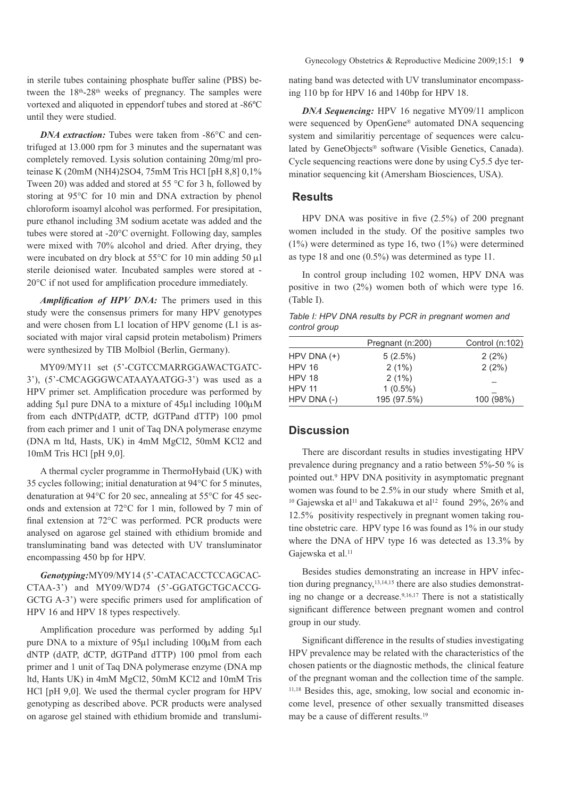in sterile tubes containing phosphate buffer saline (PBS) between the 18<sup>th</sup>-28<sup>th</sup> weeks of pregnancy. The samples were vortexed and aliquoted in eppendorf tubes and stored at -86ºC until they were studied.

*DNA extraction:* Tubes were taken from -86°C and centrifuged at 13.000 rpm for 3 minutes and the supernatant was completely removed. Lysis solution containing 20mg/ml proteinase K (20mM (NH4)2SO4, 75mM Tris HCl [pH 8,8] 0,1% Tween 20) was added and stored at 55 °C for 3 h, followed by storing at 95°C for 10 min and DNA extraction by phenol chloroform isoamyl alcohol was performed. For presipitation, pure ethanol including 3M sodium acetate was added and the tubes were stored at -20°C overnight. Following day, samples were mixed with 70% alcohol and dried. After drying, they were incubated on dry block at 55°C for 10 min adding 50 μl sterile deionised water. Incubated samples were stored at - 20°C if not used for amplification procedure immediately.

*Amplification of HPV DNA:* The primers used in this study were the consensus primers for many HPV genotypes and were chosen from L1 location of HPV genome (L1 is associated with major viral capsid protein metabolism) Primers were synthesized by TIB Molbiol (Berlin, Germany).

MY09/MY11 set (5'-CGTCCMARRGGAWACTGATC-3'), (5'-CMCAGGGWCATAAYAATGG-3') was used as a HPV primer set. Amplification procedure was performed by adding 5μl pure DNA to a mixture of 45μl including 100μM from each dNTP(dATP, dCTP, dGTPand dTTP) 100 pmol from each primer and 1 unit of Taq DNA polymerase enzyme (DNA m ltd, Hasts, UK) in 4mM MgCl2, 50mM KCl2 and 10mM Tris HCl [pH 9,0].

A thermal cycler programme in ThermoHybaid (UK) with 35 cycles following; initial denaturation at 94°C for 5 minutes, denaturation at 94°C for 20 sec, annealing at 55°C for 45 seconds and extension at 72°C for 1 min, followed by 7 min of final extension at 72°C was performed. PCR products were analysed on agarose gel stained with ethidium bromide and transluminating band was detected with UV transluminator encompassing 450 bp for HPV.

*Genotyping:*MY09/MY14 (5'-CATACACCTCCAGCAC-CTAA-3') and MY09/WD74 (5'-GGATGCTGCACCG-GCTG A-3') were specific primers used for amplification of HPV 16 and HPV 18 types respectively.

Amplification procedure was performed by adding 5μl pure DNA to a mixture of 95μl including 100μM from each dNTP (dATP, dCTP, dGTPand dTTP) 100 pmol from each primer and 1 unit of Taq DNA polymerase enzyme (DNA mp ltd, Hants UK) in 4mM MgCl2, 50mM KCl2 and 10mM Tris HCl [pH 9,0]. We used the thermal cycler program for HPV genotyping as described above. PCR products were analysed on agarose gel stained with ethidium bromide and translumiGynecology Obstetrics & Reproductive Medicine 2009;15:1 **9**

nating band was detected with UV transluminator encompassing 110 bp for HPV 16 and 140bp for HPV 18.

*DNA Sequencing:* HPV 16 negative MY09/11 amplicon were sequenced by OpenGene® automated DNA sequencing system and similaritiy percentage of sequences were calculated by GeneObjects® software (Visible Genetics, Canada). Cycle sequencing reactions were done by using Cy5.5 dye terminatior sequencing kit (Amersham Biosciences, USA).

## **Results**

HPV DNA was positive in five (2.5%) of 200 pregnant women included in the study. Of the positive samples two (1%) were determined as type 16, two (1%) were determined as type 18 and one (0.5%) was determined as type 11.

In control group including 102 women, HPV DNA was positive in two (2%) women both of which were type 16. (Table I).

*Table I: HPV DNA results by PCR in pregnant women and control group*

| HPV DNA $(+)$<br>$5(2.5\%)$<br>2(2%)<br><b>HPV 16</b><br>2(1%)<br>2(2%)<br><b>HPV 18</b><br>2(1%)<br><b>HPV 11</b><br>$1(0.5\%)$<br>195 (97.5%)<br>HPV DNA (-)<br>100 (98%) | Pregnant (n:200) | Control $(n:102)$ |
|-----------------------------------------------------------------------------------------------------------------------------------------------------------------------------|------------------|-------------------|
|                                                                                                                                                                             |                  |                   |
|                                                                                                                                                                             |                  |                   |
|                                                                                                                                                                             |                  |                   |
|                                                                                                                                                                             |                  |                   |
|                                                                                                                                                                             |                  |                   |

# **Discussion**

There are discordant results in studies investigating HPV prevalence during pregnancy and a ratio between 5%-50 % is pointed out.9 HPV DNA positivity in asymptomatic pregnant women was found to be 2.5% in our study where Smith et al, <sup>10</sup> Gajewska et al<sup>11</sup> and Takakuwa et al<sup>12</sup> found 29%, 26% and 12.5% positivity respectively in pregnant women taking routine obstetric care. HPV type 16 was found as 1% in our study where the DNA of HPV type 16 was detected as 13.3% by Gajewska et al.<sup>11</sup>

Besides studies demonstrating an increase in HPV infection during pregnancy,13,14,15 there are also studies demonstrating no change or a decrease.9,16,17 There is not a statistically significant difference between pregnant women and control group in our study.

Significant difference in the results of studies investigating HPV prevalence may be related with the characteristics of the chosen patients or the diagnostic methods, the clinical feature of the pregnant woman and the collection time of the sample. 11,18 Besides this, age, smoking, low social and economic income level, presence of other sexually transmitted diseases may be a cause of different results.19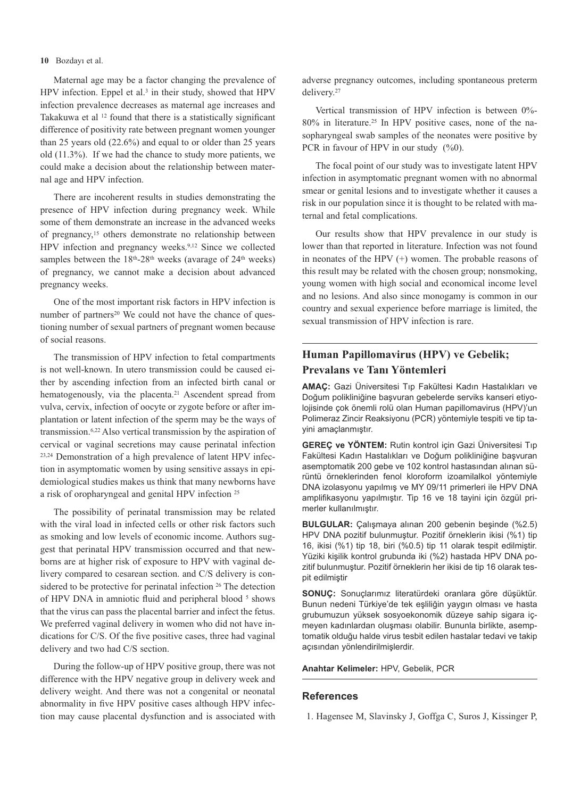#### **10** Bozdayı et al.

Maternal age may be a factor changing the prevalence of HPV infection. Eppel et al.<sup>3</sup> in their study, showed that HPV infection prevalence decreases as maternal age increases and Takakuwa et al <sup>12</sup> found that there is a statistically significant difference of positivity rate between pregnant women younger than 25 years old (22.6%) and equal to or older than 25 years old (11.3%). If we had the chance to study more patients, we could make a decision about the relationship between maternal age and HPV infection.

There are incoherent results in studies demonstrating the presence of HPV infection during pregnancy week. While some of them demonstrate an increase in the advanced weeks of pregnancy,15 others demonstrate no relationship between HPV infection and pregnancy weeks.9,12 Since we collected samples between the 18<sup>th</sup>-28<sup>th</sup> weeks (avarage of 24<sup>th</sup> weeks) of pregnancy, we cannot make a decision about advanced pregnancy weeks.

One of the most important risk factors in HPV infection is number of partners<sup>20</sup> We could not have the chance of questioning number of sexual partners of pregnant women because of social reasons.

The transmission of HPV infection to fetal compartments is not well-known. In utero transmission could be caused either by ascending infection from an infected birth canal or hematogenously, via the placenta.<sup>21</sup> Ascendent spread from vulva, cervix, infection of oocyte or zygote before or after implantation or latent infection of the sperm may be the ways of transmission.6,22 Also vertical transmission by the aspiration of cervical or vaginal secretions may cause perinatal infection 23,24 Demonstration of a high prevalence of latent HPV infection in asymptomatic women by using sensitive assays in epidemiological studies makes us think that many newborns have a risk of oropharyngeal and genital HPV infection 25

The possibility of perinatal transmission may be related with the viral load in infected cells or other risk factors such as smoking and low levels of economic income. Authors suggest that perinatal HPV transmission occurred and that newborns are at higher risk of exposure to HPV with vaginal delivery compared to cesarean section. and C/S delivery is considered to be protective for perinatal infection <sup>26</sup> The detection of HPV DNA in amniotic fluid and peripheral blood  $5$  shows that the virus can pass the placental barrier and infect the fetus. We preferred vaginal delivery in women who did not have indications for C/S. Of the five positive cases, three had vaginal delivery and two had C/S section.

During the follow-up of HPV positive group, there was not difference with the HPV negative group in delivery week and delivery weight. And there was not a congenital or neonatal abnormality in five HPV positive cases although HPV infection may cause placental dysfunction and is associated with adverse pregnancy outcomes, including spontaneous preterm delivery.27

Vertical transmission of HPV infection is between 0%- 80% in literature.25 In HPV positive cases, none of the nasopharyngeal swab samples of the neonates were positive by PCR in favour of HPV in our study  $(\%0)$ .

The focal point of our study was to investigate latent HPV infection in asymptomatic pregnant women with no abnormal smear or genital lesions and to investigate whether it causes a risk in our population since it is thought to be related with maternal and fetal complications.

Our results show that HPV prevalence in our study is lower than that reported in literature. Infection was not found in neonates of the HPV (+) women. The probable reasons of this result may be related with the chosen group; nonsmoking, young women with high social and economical income level and no lesions. And also since monogamy is common in our country and sexual experience before marriage is limited, the sexual transmission of HPV infection is rare.

# **Human Papillomavirus (HPV) ve Gebelik; Prevalans ve Tanı Yöntemleri**

**AMAÇ:** Gazi Üniversitesi Tıp Fakültesi Kadın Hastalıkları ve Doğum polikliniğine başvuran gebelerde serviks kanseri etiyolojisinde çok önemli rolü olan Human papillomavirus (HPV)'un Polimeraz Zincir Reaksiyonu (PCR) yöntemiyle tespiti ve tip tayini amaçlanmıştır.

**GEREÇ ve YÖNTEM:** Rutin kontrol için Gazi Üniversitesi Tıp Fakültesi Kadın Hastalıkları ve Doğum polikliniğine başvuran asemptomatik 200 gebe ve 102 kontrol hastasından alınan sürüntü örneklerinden fenol kloroform izoamilalkol yöntemiyle DNA izolasyonu yapılmış ve MY 09/11 primerleri ile HPV DNA amplifikasyonu yapılmıştır. Tip 16 ve 18 tayini için özgül primerler kullanılmıştır.

**BULGULAR:** Çalışmaya alınan 200 gebenin beşinde (%2.5) HPV DNA pozitif bulunmuştur. Pozitif örneklerin ikisi (%1) tip 16, ikisi (%1) tip 18, biri (%0.5) tip 11 olarak tespit edilmiştir. Yüziki kişilik kontrol grubunda iki (%2) hastada HPV DNA pozitif bulunmuştur. Pozitif örneklerin her ikisi de tip 16 olarak tespit edilmiştir

**SONUÇ:** Sonuçlarımız literatürdeki oranlara göre düşüktür. Bunun nedeni Türkiye'de tek eşliliğin yaygın olması ve hasta grubumuzun yüksek sosyoekonomik düzeye sahip sigara içmeyen kadınlardan oluşması olabilir. Bununla birlikte, asemptomatik olduğu halde virus tesbit edilen hastalar tedavi ve takip açısından yönlendirilmişlerdir.

### **Anahtar Kelimeler:** HPV, Gebelik, PCR

#### **References**

<sup>1.</sup> Hagensee M, Slavinsky J, Goffga C, Suros J, Kissinger P,